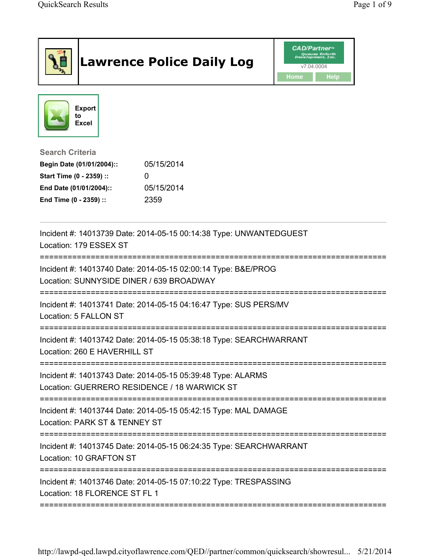|                                                                                                                                      | <b>Lawrence Police Daily Log</b>                                               | <b>CAD/Partner</b> "<br>v7.04.0004<br>Home<br><b>Help</b> |
|--------------------------------------------------------------------------------------------------------------------------------------|--------------------------------------------------------------------------------|-----------------------------------------------------------|
| <b>Export</b><br>to<br><b>Excel</b>                                                                                                  |                                                                                |                                                           |
| <b>Search Criteria</b><br>Begin Date (01/01/2004)::<br>Start Time (0 - 2359) ::<br>End Date (01/01/2004)::<br>End Time (0 - 2359) :: | 05/15/2014<br>0<br>05/15/2014<br>2359                                          |                                                           |
| Location: 179 ESSEX ST                                                                                                               | Incident #: 14013739 Date: 2014-05-15 00:14:38 Type: UNWANTEDGUEST             |                                                           |
| Location: SUNNYSIDE DINER / 639 BROADWAY                                                                                             | Incident #: 14013740 Date: 2014-05-15 02:00:14 Type: B&E/PROG                  |                                                           |
| Location: 5 FALLON ST                                                                                                                | Incident #: 14013741 Date: 2014-05-15 04:16:47 Type: SUS PERS/MV               |                                                           |
| Location: 260 E HAVERHILL ST                                                                                                         | Incident #: 14013742 Date: 2014-05-15 05:38:18 Type: SEARCHWARRANT             |                                                           |
| Location: GUERRERO RESIDENCE / 18 WARWICK ST                                                                                         | ===============<br>Incident #: 14013743 Date: 2014-05-15 05:39:48 Type: ALARMS |                                                           |
| Location: PARK ST & TENNEY ST                                                                                                        | Incident #: 14013744 Date: 2014-05-15 05:42:15 Type: MAL DAMAGE                |                                                           |
| Location: 10 GRAFTON ST                                                                                                              | Incident #: 14013745 Date: 2014-05-15 06:24:35 Type: SEARCHWARRANT             |                                                           |
| Location: 18 FLORENCE ST FL 1                                                                                                        | Incident #: 14013746 Date: 2014-05-15 07:10:22 Type: TRESPASSING               |                                                           |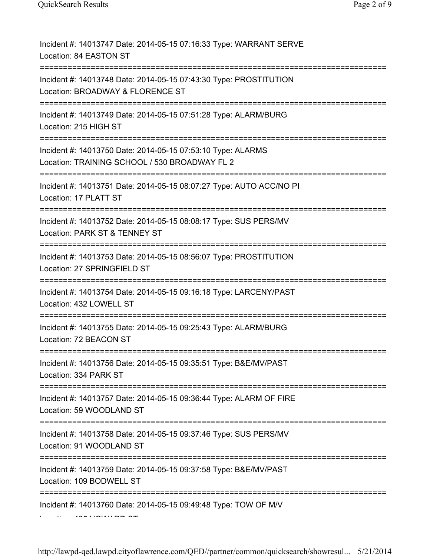| Incident #: 14013747 Date: 2014-05-15 07:16:33 Type: WARRANT SERVE<br>Location: 84 EASTON ST                                                     |
|--------------------------------------------------------------------------------------------------------------------------------------------------|
| Incident #: 14013748 Date: 2014-05-15 07:43:30 Type: PROSTITUTION<br>Location: BROADWAY & FLORENCE ST                                            |
| Incident #: 14013749 Date: 2014-05-15 07:51:28 Type: ALARM/BURG<br>Location: 215 HIGH ST                                                         |
| Incident #: 14013750 Date: 2014-05-15 07:53:10 Type: ALARMS<br>Location: TRAINING SCHOOL / 530 BROADWAY FL 2<br>;=============================== |
| Incident #: 14013751 Date: 2014-05-15 08:07:27 Type: AUTO ACC/NO PI<br>Location: 17 PLATT ST                                                     |
| Incident #: 14013752 Date: 2014-05-15 08:08:17 Type: SUS PERS/MV<br>Location: PARK ST & TENNEY ST                                                |
| Incident #: 14013753 Date: 2014-05-15 08:56:07 Type: PROSTITUTION<br>Location: 27 SPRINGFIELD ST                                                 |
| Incident #: 14013754 Date: 2014-05-15 09:16:18 Type: LARCENY/PAST<br>Location: 432 LOWELL ST                                                     |
| Incident #: 14013755 Date: 2014-05-15 09:25:43 Type: ALARM/BURG<br>Location: 72 BEACON ST                                                        |
| Incident #: 14013756 Date: 2014-05-15 09:35:51 Type: B&E/MV/PAST<br>Location: 334 PARK ST                                                        |
| Incident #: 14013757 Date: 2014-05-15 09:36:44 Type: ALARM OF FIRE<br>Location: 59 WOODLAND ST                                                   |
| Incident #: 14013758 Date: 2014-05-15 09:37:46 Type: SUS PERS/MV<br>Location: 91 WOODLAND ST                                                     |
| Incident #: 14013759 Date: 2014-05-15 09:37:58 Type: B&E/MV/PAST<br>Location: 109 BODWELL ST                                                     |
| Incident #: 14013760 Date: 2014-05-15 09:49:48 Type: TOW OF M/V                                                                                  |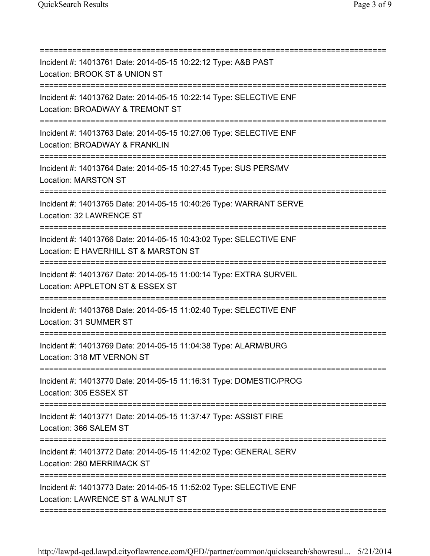| Incident #: 14013761 Date: 2014-05-15 10:22:12 Type: A&B PAST<br>Location: BROOK ST & UNION ST<br>==================                                                        |
|-----------------------------------------------------------------------------------------------------------------------------------------------------------------------------|
| Incident #: 14013762 Date: 2014-05-15 10:22:14 Type: SELECTIVE ENF<br>Location: BROADWAY & TREMONT ST                                                                       |
| Incident #: 14013763 Date: 2014-05-15 10:27:06 Type: SELECTIVE ENF<br>Location: BROADWAY & FRANKLIN<br>=======================                                              |
| Incident #: 14013764 Date: 2014-05-15 10:27:45 Type: SUS PERS/MV<br><b>Location: MARSTON ST</b>                                                                             |
| Incident #: 14013765 Date: 2014-05-15 10:40:26 Type: WARRANT SERVE<br>Location: 32 LAWRENCE ST<br>=====================================                                     |
| Incident #: 14013766 Date: 2014-05-15 10:43:02 Type: SELECTIVE ENF<br>Location: E HAVERHILL ST & MARSTON ST<br>========================                                     |
| =================<br>Incident #: 14013767 Date: 2014-05-15 11:00:14 Type: EXTRA SURVEIL<br>Location: APPLETON ST & ESSEX ST<br>============================<br>:=========== |
| Incident #: 14013768 Date: 2014-05-15 11:02:40 Type: SELECTIVE ENF<br>Location: 31 SUMMER ST                                                                                |
| Incident #: 14013769 Date: 2014-05-15 11:04:38 Type: ALARM/BURG<br>Location: 318 MT VERNON ST                                                                               |
| Incident #: 14013770 Date: 2014-05-15 11:16:31 Type: DOMESTIC/PROG<br>Location: 305 ESSEX ST                                                                                |
| Incident #: 14013771 Date: 2014-05-15 11:37:47 Type: ASSIST FIRE<br>Location: 366 SALEM ST                                                                                  |
| Incident #: 14013772 Date: 2014-05-15 11:42:02 Type: GENERAL SERV<br>Location: 280 MERRIMACK ST                                                                             |
| Incident #: 14013773 Date: 2014-05-15 11:52:02 Type: SELECTIVE ENF<br>Location: LAWRENCE ST & WALNUT ST                                                                     |
|                                                                                                                                                                             |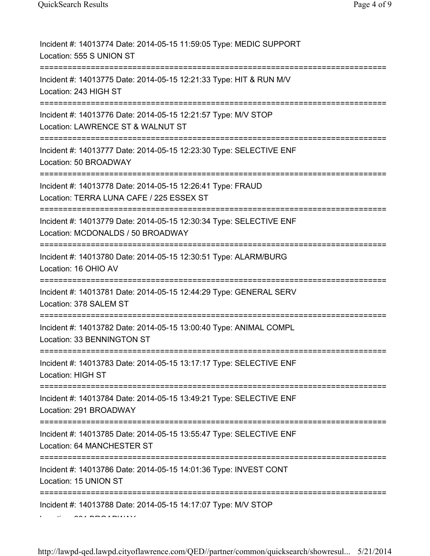| Incident #: 14013774 Date: 2014-05-15 11:59:05 Type: MEDIC SUPPORT<br>Location: 555 S UNION ST                                     |
|------------------------------------------------------------------------------------------------------------------------------------|
| Incident #: 14013775 Date: 2014-05-15 12:21:33 Type: HIT & RUN M/V<br>Location: 243 HIGH ST                                        |
| Incident #: 14013776 Date: 2014-05-15 12:21:57 Type: M/V STOP<br>Location: LAWRENCE ST & WALNUT ST                                 |
| Incident #: 14013777 Date: 2014-05-15 12:23:30 Type: SELECTIVE ENF<br>Location: 50 BROADWAY<br>:================================== |
| Incident #: 14013778 Date: 2014-05-15 12:26:41 Type: FRAUD<br>Location: TERRA LUNA CAFE / 225 ESSEX ST<br>====================     |
| Incident #: 14013779 Date: 2014-05-15 12:30:34 Type: SELECTIVE ENF<br>Location: MCDONALDS / 50 BROADWAY                            |
| Incident #: 14013780 Date: 2014-05-15 12:30:51 Type: ALARM/BURG<br>Location: 16 OHIO AV                                            |
| Incident #: 14013781 Date: 2014-05-15 12:44:29 Type: GENERAL SERV<br>Location: 378 SALEM ST                                        |
| Incident #: 14013782 Date: 2014-05-15 13:00:40 Type: ANIMAL COMPL<br>Location: 33 BENNINGTON ST                                    |
| Incident #: 14013783 Date: 2014-05-15 13:17:17 Type: SELECTIVE ENF<br><b>Location: HIGH ST</b>                                     |
| Incident #: 14013784 Date: 2014-05-15 13:49:21 Type: SELECTIVE ENF<br>Location: 291 BROADWAY                                       |
| Incident #: 14013785 Date: 2014-05-15 13:55:47 Type: SELECTIVE ENF<br>Location: 64 MANCHESTER ST                                   |
| ----------------------------------<br>Incident #: 14013786 Date: 2014-05-15 14:01:36 Type: INVEST CONT<br>Location: 15 UNION ST    |
| Incident #: 14013788 Date: 2014-05-15 14:17:07 Type: M/V STOP                                                                      |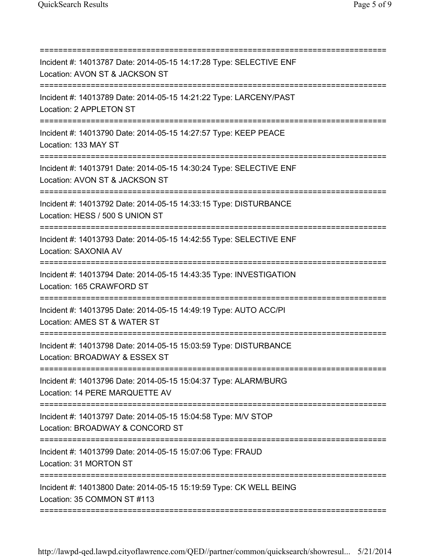=========================================================================== Incident #: 14013787 Date: 2014-05-15 14:17:28 Type: SELECTIVE ENF Location: AVON ST & JACKSON ST =========================================================================== Incident #: 14013789 Date: 2014-05-15 14:21:22 Type: LARCENY/PAST Location: 2 APPLETON ST =========================================================================== Incident #: 14013790 Date: 2014-05-15 14:27:57 Type: KEEP PEACE Location: 133 MAY ST =========================================================================== Incident #: 14013791 Date: 2014-05-15 14:30:24 Type: SELECTIVE ENF Location: AVON ST & JACKSON ST =========================================================================== Incident #: 14013792 Date: 2014-05-15 14:33:15 Type: DISTURBANCE Location: HESS / 500 S UNION ST =========================================================================== Incident #: 14013793 Date: 2014-05-15 14:42:55 Type: SELECTIVE ENF Location: SAXONIA AV =========================================================================== Incident #: 14013794 Date: 2014-05-15 14:43:35 Type: INVESTIGATION Location: 165 CRAWFORD ST =========================================================================== Incident #: 14013795 Date: 2014-05-15 14:49:19 Type: AUTO ACC/PI Location: AMES ST & WATER ST =========================================================================== Incident #: 14013798 Date: 2014-05-15 15:03:59 Type: DISTURBANCE Location: BROADWAY & ESSEX ST =========================================================================== Incident #: 14013796 Date: 2014-05-15 15:04:37 Type: ALARM/BURG Location: 14 PERE MARQUETTE AV =========================================================================== Incident #: 14013797 Date: 2014-05-15 15:04:58 Type: M/V STOP Location: BROADWAY & CONCORD ST =========================================================================== Incident #: 14013799 Date: 2014-05-15 15:07:06 Type: FRAUD Location: 31 MORTON ST =========================================================================== Incident #: 14013800 Date: 2014-05-15 15:19:59 Type: CK WELL BEING Location: 35 COMMON ST #113 ===========================================================================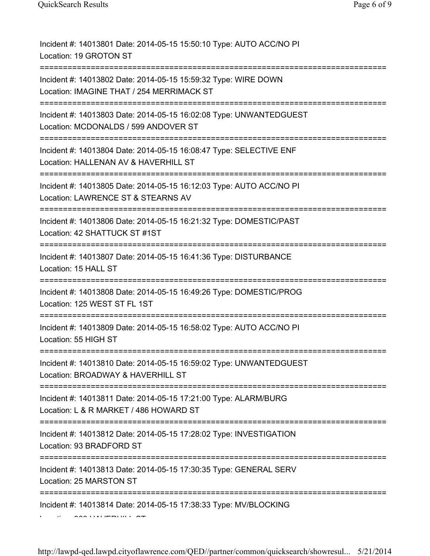| Incident #: 14013801 Date: 2014-05-15 15:50:10 Type: AUTO ACC/NO PI<br>Location: 19 GROTON ST                                                       |
|-----------------------------------------------------------------------------------------------------------------------------------------------------|
| Incident #: 14013802 Date: 2014-05-15 15:59:32 Type: WIRE DOWN<br>Location: IMAGINE THAT / 254 MERRIMACK ST<br>;=================================== |
| Incident #: 14013803 Date: 2014-05-15 16:02:08 Type: UNWANTEDGUEST<br>Location: MCDONALDS / 599 ANDOVER ST                                          |
| Incident #: 14013804 Date: 2014-05-15 16:08:47 Type: SELECTIVE ENF<br>Location: HALLENAN AV & HAVERHILL ST<br>=================                     |
| Incident #: 14013805 Date: 2014-05-15 16:12:03 Type: AUTO ACC/NO PI<br>Location: LAWRENCE ST & STEARNS AV<br>=========================              |
| Incident #: 14013806 Date: 2014-05-15 16:21:32 Type: DOMESTIC/PAST<br>Location: 42 SHATTUCK ST #1ST                                                 |
| Incident #: 14013807 Date: 2014-05-15 16:41:36 Type: DISTURBANCE<br>Location: 15 HALL ST                                                            |
| Incident #: 14013808 Date: 2014-05-15 16:49:26 Type: DOMESTIC/PROG<br>Location: 125 WEST ST FL 1ST                                                  |
| Incident #: 14013809 Date: 2014-05-15 16:58:02 Type: AUTO ACC/NO PI<br>Location: 55 HIGH ST                                                         |
| Incident #: 14013810 Date: 2014-05-15 16:59:02 Type: UNWANTEDGUEST<br>Location: BROADWAY & HAVERHILL ST                                             |
| Incident #: 14013811 Date: 2014-05-15 17:21:00 Type: ALARM/BURG<br>Location: L & R MARKET / 486 HOWARD ST                                           |
| Incident #: 14013812 Date: 2014-05-15 17:28:02 Type: INVESTIGATION<br>Location: 93 BRADFORD ST                                                      |
| Incident #: 14013813 Date: 2014-05-15 17:30:35 Type: GENERAL SERV<br>Location: 25 MARSTON ST                                                        |
| Incident #: 14013814 Date: 2014-05-15 17:38:33 Type: MV/BLOCKING                                                                                    |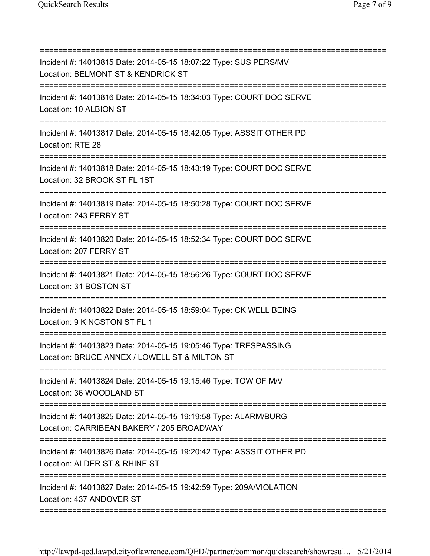=========================================================================== Incident #: 14013815 Date: 2014-05-15 18:07:22 Type: SUS PERS/MV Location: BELMONT ST & KENDRICK ST =========================================================================== Incident #: 14013816 Date: 2014-05-15 18:34:03 Type: COURT DOC SERVE Location: 10 ALBION ST =========================================================================== Incident #: 14013817 Date: 2014-05-15 18:42:05 Type: ASSSIT OTHER PD Location: RTE 28 =========================================================================== Incident #: 14013818 Date: 2014-05-15 18:43:19 Type: COURT DOC SERVE Location: 32 BROOK ST FL 1ST =========================================================================== Incident #: 14013819 Date: 2014-05-15 18:50:28 Type: COURT DOC SERVE Location: 243 FERRY ST =========================================================================== Incident #: 14013820 Date: 2014-05-15 18:52:34 Type: COURT DOC SERVE Location: 207 FERRY ST =========================================================================== Incident #: 14013821 Date: 2014-05-15 18:56:26 Type: COURT DOC SERVE Location: 31 BOSTON ST =========================================================================== Incident #: 14013822 Date: 2014-05-15 18:59:04 Type: CK WELL BEING Location: 9 KINGSTON ST FL 1 =========================================================================== Incident #: 14013823 Date: 2014-05-15 19:05:46 Type: TRESPASSING Location: BRUCE ANNEX / LOWELL ST & MILTON ST =========================================================================== Incident #: 14013824 Date: 2014-05-15 19:15:46 Type: TOW OF M/V Location: 36 WOODLAND ST =========================================================================== Incident #: 14013825 Date: 2014-05-15 19:19:58 Type: ALARM/BURG Location: CARRIBEAN BAKERY / 205 BROADWAY =========================================================================== Incident #: 14013826 Date: 2014-05-15 19:20:42 Type: ASSSIT OTHER PD Location: ALDER ST & RHINE ST =========================================================================== Incident #: 14013827 Date: 2014-05-15 19:42:59 Type: 209A/VIOLATION Location: 437 ANDOVER ST ===========================================================================

http://lawpd-qed.lawpd.cityoflawrence.com/QED//partner/common/quicksearch/showresul... 5/21/2014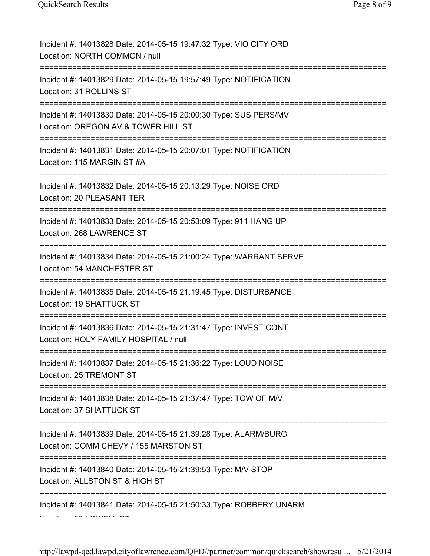| Incident #: 14013828 Date: 2014-05-15 19:47:32 Type: VIO CITY ORD<br>Location: NORTH COMMON / null                            |
|-------------------------------------------------------------------------------------------------------------------------------|
| Incident #: 14013829 Date: 2014-05-15 19:57:49 Type: NOTIFICATION<br>Location: 31 ROLLINS ST                                  |
| Incident #: 14013830 Date: 2014-05-15 20:00:30 Type: SUS PERS/MV<br>Location: OREGON AV & TOWER HILL ST                       |
| Incident #: 14013831 Date: 2014-05-15 20:07:01 Type: NOTIFICATION<br>Location: 115 MARGIN ST #A                               |
| Incident #: 14013832 Date: 2014-05-15 20:13:29 Type: NOISE ORD<br>Location: 20 PLEASANT TER                                   |
| Incident #: 14013833 Date: 2014-05-15 20:53:09 Type: 911 HANG UP<br>Location: 268 LAWRENCE ST                                 |
| Incident #: 14013834 Date: 2014-05-15 21:00:24 Type: WARRANT SERVE<br>Location: 54 MANCHESTER ST                              |
| Incident #: 14013835 Date: 2014-05-15 21:19:45 Type: DISTURBANCE<br>Location: 19 SHATTUCK ST                                  |
| Incident #: 14013836 Date: 2014-05-15 21:31:47 Type: INVEST CONT<br>Location: HOLY FAMILY HOSPITAL / null                     |
| Incident #: 14013837 Date: 2014-05-15 21:36:22 Type: LOUD NOISE<br>Location: 25 TREMONT ST                                    |
| Incident #: 14013838 Date: 2014-05-15 21:37:47 Type: TOW OF M/V<br>Location: 37 SHATTUCK ST                                   |
| Incident #: 14013839 Date: 2014-05-15 21:39:28 Type: ALARM/BURG<br>Location: COMM CHEVY / 155 MARSTON ST                      |
| ==========================<br>Incident #: 14013840 Date: 2014-05-15 21:39:53 Type: M/V STOP<br>Location: ALLSTON ST & HIGH ST |
| Incident #: 14013841 Date: 2014-05-15 21:50:33 Type: ROBBERY UNARM                                                            |
|                                                                                                                               |